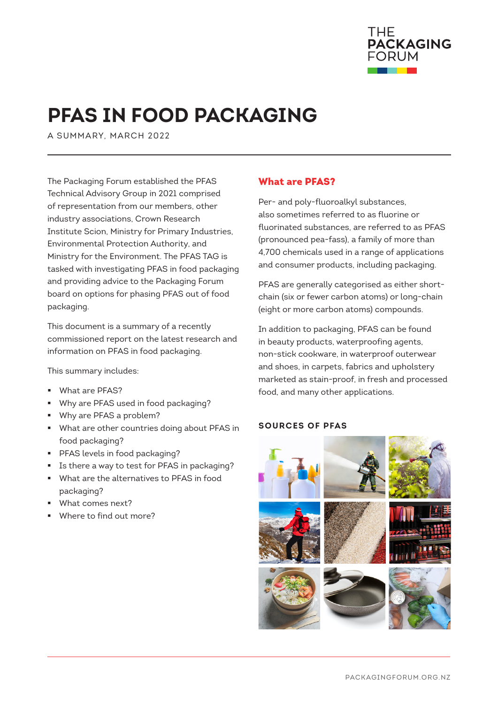

# **PFAS IN FOOD PACKAGING**

A SUMMARY, MARCH 2022

The Packaging Forum established the PFAS Technical Advisory Group in 2021 comprised of representation from our members, other industry associations, Crown Research Institute Scion, Ministry for Primary Industries, Environmental Protection Authority, and Ministry for the Environment. The PFAS TAG is tasked with investigating PFAS in food packaging and providing advice to the Packaging Forum board on options for phasing PFAS out of food packaging.

This document is a summary of a recently commissioned report on the latest research and information on PFAS in food packaging.

This summary includes:

- [What are PFAS?](#page-0-0)
- [Why are PFAS used in food packaging?](#page-1-0)
- **[Why are PFAS a problem?](#page-1-1)**
- [What are other countries doing about PFAS in](#page-2-0) [food packaging?](#page-2-0)
- **[PFAS levels in food packaging?](#page-3-0)**
- [Is there a way to test for PFAS in packaging?](#page-3-1)
- [What are the alternatives to PFAS in food](#page-4-0)  [packaging?](#page-4-0)
- [What comes next?](#page-4-1)
- [Where to find out more?](#page-5-0)

#### <span id="page-0-0"></span>What are PFAS?

Per- and poly-fluoroalkyl substances, also sometimes referred to as fluorine or fluorinated substances, are referred to as PFAS (pronounced pea-fass), a family of more than 4,700 chemicals used in a range of applications and consumer products, including packaging.

PFAS are generally categorised as either shortchain (six or fewer carbon atoms) or long-chain (eight or more carbon atoms) compounds.

In addition to packaging, PFAS can be found in beauty products, waterproofing agents, non-stick cookware, in waterproof outerwear and shoes, in carpets, fabrics and upholstery marketed as stain-proof, in fresh and processed food, and many other applications.

#### **SOURCES OF PFAS**

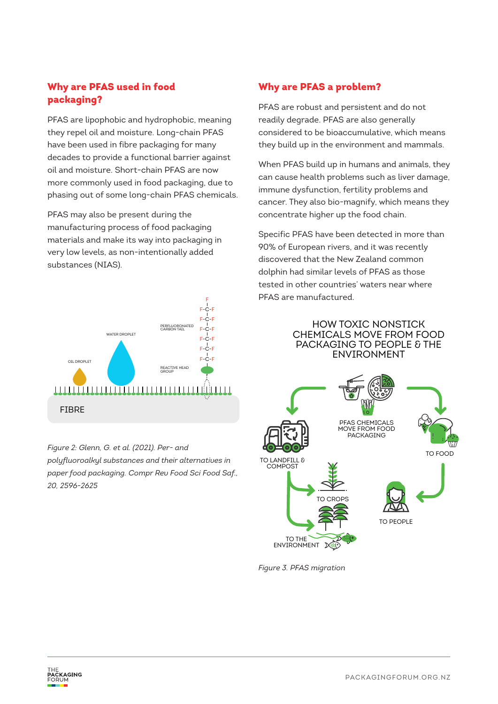## <span id="page-1-0"></span>Why are PFAS used in food packaging?

PFAS are lipophobic and hydrophobic, meaning they repel oil and moisture. Long-chain PFAS have been used in fibre packaging for many decades to provide a functional barrier against oil and moisture. Short-chain PFAS are now more commonly used in food packaging, due to phasing out of some long-chain PFAS chemicals.

PFAS may also be present during the manufacturing process of food packaging materials and make its way into packaging in very low levels, as non-intentionally added substances (NIAS).



*Figure 2: Glenn, G. et al. (2021). Per- and polyfluoroalkyl substances and their alternatives in paper food packaging. Compr Rev Food Sci Food Saf., 20, 2596-2625*

## <span id="page-1-1"></span>Why are PFAS a problem?

PFAS are robust and persistent and do not readily degrade. PFAS are also generally considered to be bioaccumulative, which means they build up in the environment and mammals.

When PFAS build up in humans and animals, they can cause health problems such as liver damage, immune dysfunction, fertility problems and cancer. They also bio-magnify, which means they concentrate higher up the food chain.

Specific PFAS have been detected in more than 90% of European rivers, and it was recently discovered that the New Zealand common dolphin had similar levels of PFAS as those tested in other countries' waters near where PFAS are manufactured.

#### HOW TOXIC NONSTICK CHEMICALS MOVE FROM FOOD PACKAGING TO PEOPLE & THE ENVIRONMENT



*Figure 3. PFAS migration*

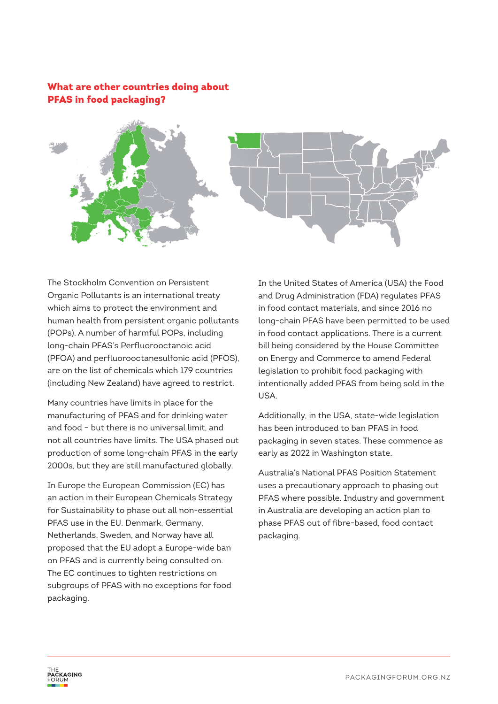#### <span id="page-2-0"></span>What are other countries doing about PFAS in food packaging?



The Stockholm Convention on Persistent Organic Pollutants is an international treaty which aims to protect the environment and human health from persistent organic pollutants (POPs). A number of harmful POPs, including long-chain PFAS's Perfluorooctanoic acid (PFOA) and perfluorooctanesulfonic acid (PFOS), are on the list of chemicals which 179 countries (including New Zealand) have agreed to restrict.

Many countries have limits in place for the manufacturing of PFAS and for drinking water and food – but there is no universal limit, and not all countries have limits. The USA phased out production of some long-chain PFAS in the early 2000s, but they are still manufactured globally.

In Europe the European Commission (EC) has an action in their European Chemicals Strategy for Sustainability to phase out all non-essential PFAS use in the EU. Denmark, Germany, Netherlands, Sweden, and Norway have all proposed that the EU adopt a Europe-wide ban on PFAS and is currently being consulted on. The EC continues to tighten restrictions on subgroups of PFAS with no exceptions for food packaging.

In the United States of America (USA) the Food and Drug Administration (FDA) regulates PFAS in food contact materials, and since 2016 no long-chain PFAS have been permitted to be used in food contact applications. There is a current bill being considered by the House Committee on Energy and Commerce to amend Federal legislation to prohibit food packaging with intentionally added PFAS from being sold in the USA.

Additionally, in the USA, state-wide legislation has been introduced to ban PFAS in food packaging in seven states. These commence as early as 2022 in Washington state.

Australia's National PFAS Position Statement uses a precautionary approach to phasing out PFAS where possible. Industry and government in Australia are developing an action plan to phase PFAS out of fibre-based, food contact packaging.

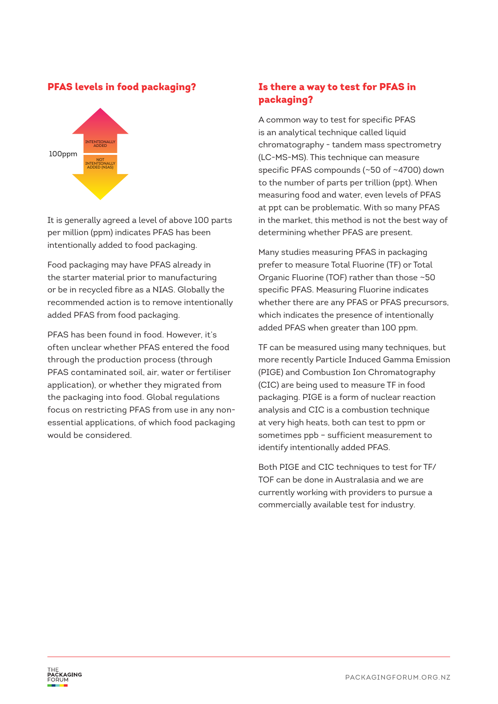#### <span id="page-3-0"></span>PFAS levels in food packaging?



It is generally agreed a level of above 100 parts per million (ppm) indicates PFAS has been intentionally added to food packaging.

Food packaging may have PFAS already in the starter material prior to manufacturing or be in recycled fibre as a NIAS. Globally the recommended action is to remove intentionally added PFAS from food packaging.

<span id="page-3-1"></span>PFAS has been found in food. However, it's often unclear whether PFAS entered the food through the production process (through PFAS contaminated soil, air, water or fertiliser application), or whether they migrated from the packaging into food. Global regulations focus on restricting PFAS from use in any nonessential applications, of which food packaging would be considered.

# Is there a way to test for PFAS in packaging?

A common way to test for specific PFAS is an analytical technique called liquid chromatography - tandem mass spectrometry (LC-MS-MS). This technique can measure specific PFAS compounds (~50 of ~4700) down to the number of parts per trillion (ppt). When measuring food and water, even levels of PFAS at ppt can be problematic. With so many PFAS in the market, this method is not the best way of determining whether PFAS are present.

Many studies measuring PFAS in packaging prefer to measure Total Fluorine (TF) or Total Organic Fluorine (TOF) rather than those ~50 specific PFAS. Measuring Fluorine indicates whether there are any PFAS or PFAS precursors, which indicates the presence of intentionally added PFAS when greater than 100 ppm.

TF can be measured using many techniques, but more recently Particle Induced Gamma Emission (PIGE) and Combustion Ion Chromatography (CIC) are being used to measure TF in food packaging. PIGE is a form of nuclear reaction analysis and CIC is a combustion technique at very high heats, both can test to ppm or sometimes ppb – sufficient measurement to identify intentionally added PFAS.

Both PIGE and CIC techniques to test for TF/ TOF can be done in Australasia and we are currently working with providers to pursue a commercially available test for industry.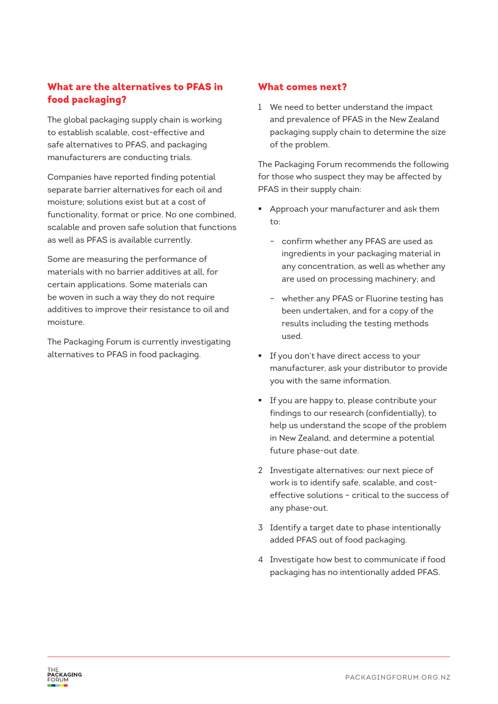# <span id="page-4-0"></span>What are the alternatives to PFAS in food packaging?

The global packaging supply chain is working to establish scalable, cost-effective and safe alternatives to PFAS, and packaging manufacturers are conducting trials.

Companies have reported finding potential separate barrier alternatives for each oil and moisture; solutions exist but at a cost of functionality, format or price. No one combined, scalable and proven safe solution that functions as well as PFAS is available currently.

Some are measuring the performance of materials with no barrier additives at all, for certain applications. Some materials can be woven in such a way they do not require additives to improve their resistance to oil and moisture.

<span id="page-4-1"></span>The Packaging Forum is currently investigating alternatives to PFAS in food packaging.

#### What comes next?

1 We need to better understand the impact and prevalence of PFAS in the New Zealand packaging supply chain to determine the size of the problem.

The Packaging Forum recommends the following for those who suspect they may be affected by PFAS in their supply chain:

- Approach your manufacturer and ask them to:
	- confirm whether any PFAS are used as ingredients in your packaging material in any concentration, as well as whether any are used on processing machinery; and
	- whether any PFAS or Fluorine testing has been undertaken, and for a copy of the results including the testing methods used.
- **If you don't have direct access to your** manufacturer, ask your distributor to provide you with the same information.
- **If you are happy to, please contribute your** findings to our research (confidentially), to help us understand the scope of the problem in New Zealand, and determine a potential future phase-out date.
- 2 Investigate alternatives: our next piece of work is to identify safe, scalable, and costeffective solutions – critical to the success of any phase-out.
- 3 Identify a target date to phase intentionally added PFAS out of food packaging.
- 4 Investigate how best to communicate if food packaging has no intentionally added PFAS.